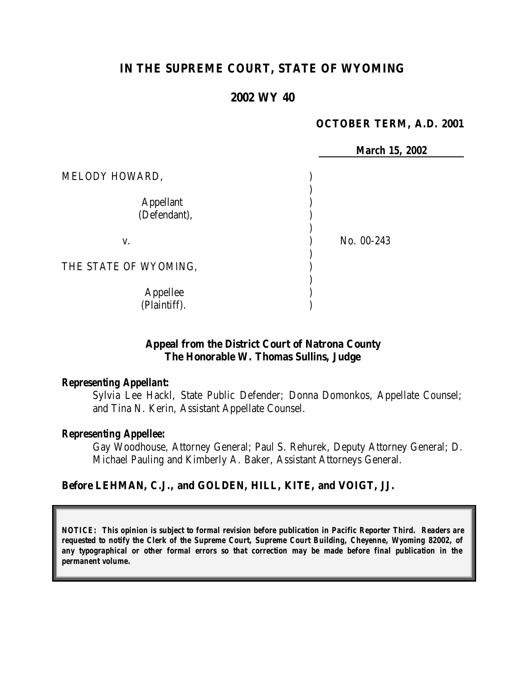# **IN THE SUPREME COURT, STATE OF WYOMING**

#### **2002 WY 40**

#### **OCTOBER TERM, A.D. 2001**

|                                  |            | <b>March 15, 2002</b> |
|----------------------------------|------------|-----------------------|
| MELODY HOWARD,                   |            |                       |
| <b>Appellant</b><br>(Defendant), |            |                       |
| V.                               | No. 00-243 |                       |
| THE STATE OF WYOMING,            |            |                       |
| Appellee<br>(Plaintiff).         |            |                       |

#### **Appeal from the District Court of Natrona County The Honorable W. Thomas Sullins, Judge**

#### *Representing Appellant:*

Sylvia Lee Hackl, State Public Defender; Donna Domonkos, Appellate Counsel; and Tina N. Kerin, Assistant Appellate Counsel.

#### *Representing Appellee:*

Gay Woodhouse, Attorney General; Paul S. Rehurek, Deputy Attorney General; D. Michael Pauling and Kimberly A. Baker, Assistant Attorneys General.

#### **Before LEHMAN, C.J., and GOLDEN, HILL, KITE, and VOIGT, JJ.**

*NOTICE: This opinion is subject to formal revision before publication in Pacific Reporter Third. Readers are requested to notify the Clerk of the Supreme Court, Supreme Court Building, Cheyenne, Wyoming 82002, of any typographical or other formal errors so that correction may be made before final publication in the permanent volume.*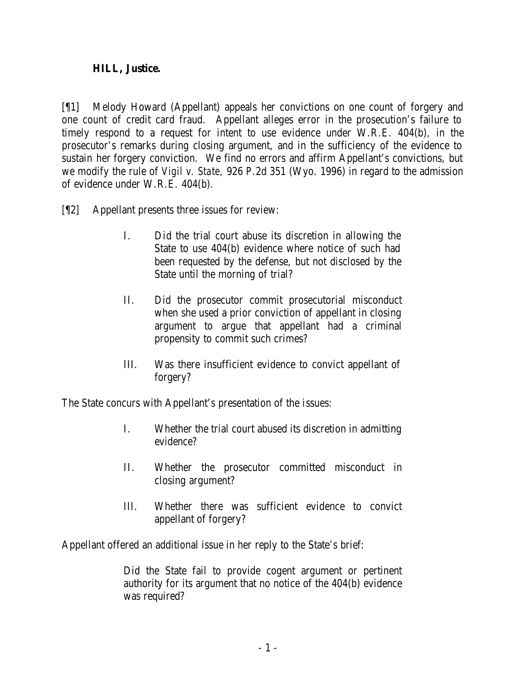#### **HILL, Justice.**

[¶1] Melody Howard (Appellant) appeals her convictions on one count of forgery and one count of credit card fraud. Appellant alleges error in the prosecution's failure to timely respond to a request for intent to use evidence under W.R.E. 404(b), in the prosecutor's remarks during closing argument, and in the sufficiency of the evidence to sustain her forgery conviction. We find no errors and affirm Appellant's convictions, but we modify the rule of *Vigil v. State,* 926 P.2d 351 (Wyo. 1996) in regard to the admission of evidence under W.R.E. 404(b).

- [¶2] Appellant presents three issues for review:
	- I. Did the trial court abuse its discretion in allowing the State to use 404(b) evidence where notice of such had been requested by the defense, but not disclosed by the State until the morning of trial?
	- II. Did the prosecutor commit prosecutorial misconduct when she used a prior conviction of appellant in closing argument to argue that appellant had a criminal propensity to commit such crimes?
	- III. Was there insufficient evidence to convict appellant of forgery?

The State concurs with Appellant's presentation of the issues:

- I. Whether the trial court abused its discretion in admitting evidence?
- II. Whether the prosecutor committed misconduct in closing argument?
- III. Whether there was sufficient evidence to convict appellant of forgery?

Appellant offered an additional issue in her reply to the State's brief:

Did the State fail to provide cogent argument or pertinent authority for its argument that no notice of the 404(b) evidence was required?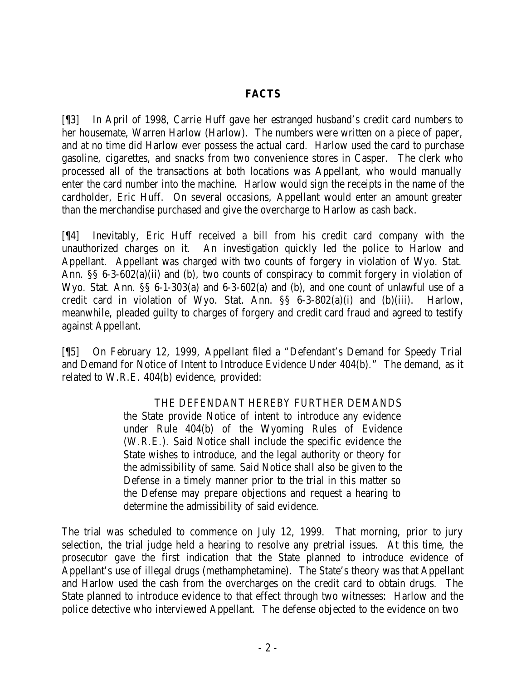#### **FACTS**

[¶3] In April of 1998, Carrie Huff gave her estranged husband's credit card numbers to her housemate, Warren Harlow (Harlow). The numbers were written on a piece of paper, and at no time did Harlow ever possess the actual card. Harlow used the card to purchase gasoline, cigarettes, and snacks from two convenience stores in Casper. The clerk who processed all of the transactions at both locations was Appellant, who would manually enter the card number into the machine. Harlow would sign the receipts in the name of the cardholder, Eric Huff. On several occasions, Appellant would enter an amount greater than the merchandise purchased and give the overcharge to Harlow as cash back.

[¶4] Inevitably, Eric Huff received a bill from his credit card company with the unauthorized charges on it. An investigation quickly led the police to Harlow and Appellant. Appellant was charged with two counts of forgery in violation of Wyo. Stat. Ann. §§ 6-3-602(a)(ii) and (b), two counts of conspiracy to commit forgery in violation of Wyo. Stat. Ann. §§ 6-1-303(a) and 6-3-602(a) and (b), and one count of unlawful use of a credit card in violation of Wyo. Stat. Ann. §§ 6-3-802(a)(i) and (b)(iii). Harlow, meanwhile, pleaded guilty to charges of forgery and credit card fraud and agreed to testify against Appellant.

[¶5] On February 12, 1999, Appellant filed a "Defendant's Demand for Speedy Trial and Demand for Notice of Intent to Introduce Evidence Under 404(b)." The demand, as it related to W.R.E. 404(b) evidence, provided:

#### THE DEFENDANT HEREBY FURTHER DEMANDS

the State provide Notice of intent to introduce any evidence under Rule 404(b) of the Wyoming Rules of Evidence (W.R.E.). Said Notice shall include the specific evidence the State wishes to introduce, and the legal authority or theory for the admissibility of same. Said Notice shall also be given to the Defense in a timely manner prior to the trial in this matter so the Defense may prepare objections and request a hearing to determine the admissibility of said evidence.

The trial was scheduled to commence on July 12, 1999. That morning, prior to jury selection, the trial judge held a hearing to resolve any pretrial issues. At this time, the prosecutor gave the first indication that the State planned to introduce evidence of Appellant's use of illegal drugs (methamphetamine). The State's theory was that Appellant and Harlow used the cash from the overcharges on the credit card to obtain drugs. The State planned to introduce evidence to that effect through two witnesses: Harlow and the police detective who interviewed Appellant. The defense objected to the evidence on two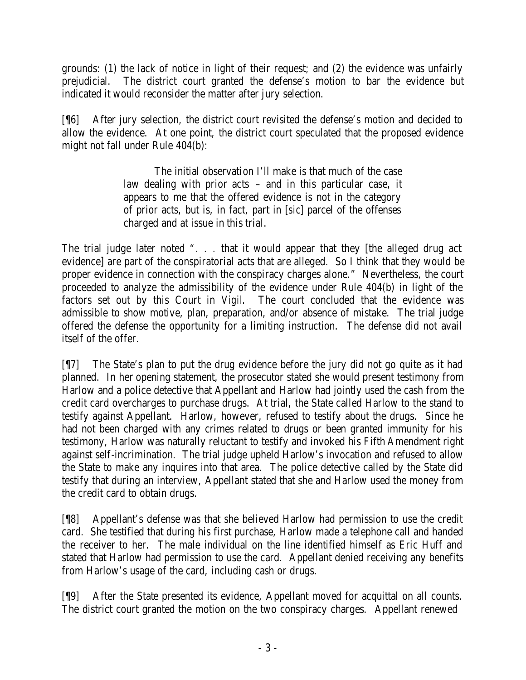grounds: (1) the lack of notice in light of their request; and (2) the evidence was unfairly prejudicial. The district court granted the defense's motion to bar the evidence but indicated it would reconsider the matter after jury selection.

[¶6] After jury selection, the district court revisited the defense's motion and decided to allow the evidence. At one point, the district court speculated that the proposed evidence might not fall under Rule 404(b):

> The initial observation I'll make is that much of the case law dealing with prior acts – and in this particular case, it appears to me that the offered evidence is not in the category of prior acts, but is, in fact, part in [*sic*] parcel of the offenses charged and at issue in this trial.

The trial judge later noted ". . . that it would appear that they [the alleged drug act evidence] are part of the conspiratorial acts that are alleged. So I think that they would be proper evidence in connection with the conspiracy charges alone." Nevertheless, the court proceeded to analyze the admissibility of the evidence under Rule 404(b) in light of the factors set out by this Court in *Vigil*. The court concluded that the evidence was admissible to show motive, plan, preparation, and/or absence of mistake. The trial judge offered the defense the opportunity for a limiting instruction. The defense did not avail itself of the offer.

[¶7] The State's plan to put the drug evidence before the jury did not go quite as it had planned. In her opening statement, the prosecutor stated she would present testimony from Harlow and a police detective that Appellant and Harlow had jointly used the cash from the credit card overcharges to purchase drugs. At trial, the State called Harlow to the stand to testify against Appellant. Harlow, however, refused to testify about the drugs. Since he had not been charged with any crimes related to drugs or been granted immunity for his testimony, Harlow was naturally reluctant to testify and invoked his Fifth Amendment right against self-incrimination. The trial judge upheld Harlow's invocation and refused to allow the State to make any inquires into that area. The police detective called by the State did testify that during an interview, Appellant stated that she and Harlow used the money from the credit card to obtain drugs.

[¶8] Appellant's defense was that she believed Harlow had permission to use the credit card. She testified that during his first purchase, Harlow made a telephone call and handed the receiver to her. The male individual on the line identified himself as Eric Huff and stated that Harlow had permission to use the card. Appellant denied receiving any benefits from Harlow's usage of the card, including cash or drugs.

[¶9] After the State presented its evidence, Appellant moved for acquittal on all counts. The district court granted the motion on the two conspiracy charges. Appellant renewed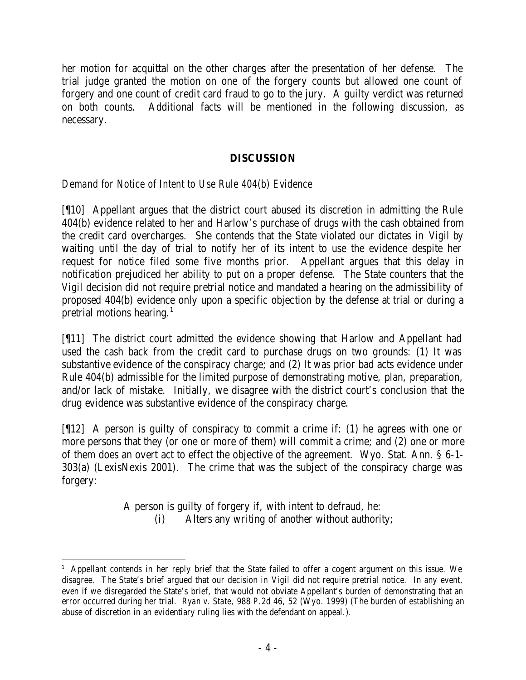her motion for acquittal on the other charges after the presentation of her defense. The trial judge granted the motion on one of the forgery counts but allowed one count of forgery and one count of credit card fraud to go to the jury. A guilty verdict was returned on both counts. Additional facts will be mentioned in the following discussion, as necessary.

# **DISCUSSION**

*Demand for Notice of Intent to Use Rule 404(b) Evidence*

[¶10] Appellant argues that the district court abused its discretion in admitting the Rule 404(b) evidence related to her and Harlow's purchase of drugs with the cash obtained from the credit card overcharges. She contends that the State violated our dictates in *Vigil* by waiting until the day of trial to notify her of its intent to use the evidence despite her request for notice filed some five months prior. Appellant argues that this delay in notification prejudiced her ability to put on a proper defense. The State counters that the *Vigil* decision did not require pretrial notice and mandated a hearing on the admissibility of proposed 404(b) evidence only upon a specific objection by the defense at trial or during a pretrial motions hearing. $<sup>1</sup>$ </sup>

[¶11] The district court admitted the evidence showing that Harlow and Appellant had used the cash back from the credit card to purchase drugs on two grounds: (1) It was substantive evidence of the conspiracy charge; and (2) It was prior bad acts evidence under Rule 404(b) admissible for the limited purpose of demonstrating motive, plan, preparation, and/or lack of mistake. Initially, we disagree with the district court's conclusion that the drug evidence was substantive evidence of the conspiracy charge.

[¶12] A person is guilty of conspiracy to commit a crime if: (1) he agrees with one or more persons that they (or one or more of them) will commit a crime; and (2) one or more of them does an overt act to effect the objective of the agreement. Wyo. Stat. Ann. § 6-1- 303(a) (LexisNexis 2001). The crime that was the subject of the conspiracy charge was forgery:

> A person is guilty of forgery if, with intent to defraud, he: (i) Alters any writing of another without authority;

<sup>1</sup> Appellant contends in her reply brief that the State failed to offer a cogent argument on this issue. We disagree. The State's brief argued that our decision in *Vigil* did not require pretrial notice. In any event, even if we disregarded the State's brief, that would not obviate Appellant's burden of demonstrating that an error occurred during her trial. *Ryan v. State*, 988 P.2d 46, 52 (Wyo. 1999) (The burden of establishing an abuse of discretion in an evidentiary ruling lies with the defendant on appeal.).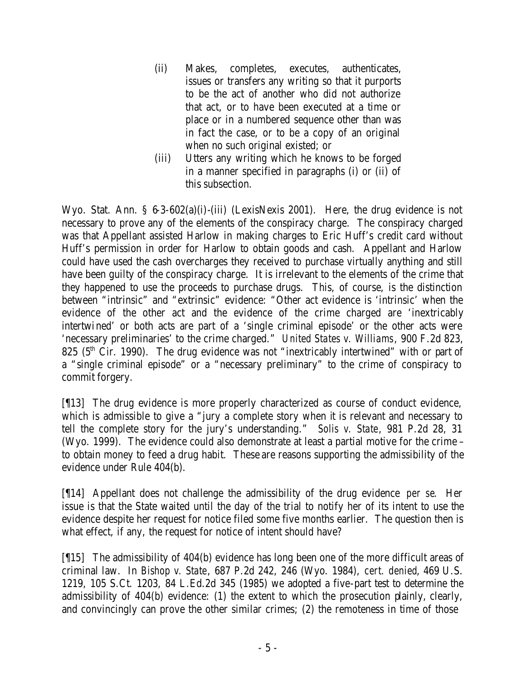- (ii) Makes, completes, executes, authenticates, issues or transfers any writing so that it purports to be the act of another who did not authorize that act, or to have been executed at a time or place or in a numbered sequence other than was in fact the case, or to be a copy of an original when no such original existed; or
- (iii) Utters any writing which he knows to be forged in a manner specified in paragraphs (i) or (ii) of this subsection.

Wyo. Stat. Ann. § 6-3-602(a)(i)-(iii) (LexisNexis 2001). Here, the drug evidence is not necessary to prove any of the elements of the conspiracy charge. The conspiracy charged was that Appellant assisted Harlow in making charges to Eric Huff's credit card without Huff's permission in order for Harlow to obtain goods and cash. Appellant and Harlow could have used the cash overcharges they received to purchase virtually anything and still have been guilty of the conspiracy charge. It is irrelevant to the elements of the crime that they happened to use the proceeds to purchase drugs. This, of course, is the distinction between "intrinsic" and "extrinsic" evidence: "Other act evidence is 'intrinsic' when the evidence of the other act and the evidence of the crime charged are 'inextricably intertwined' or both acts are part of a 'single criminal episode' or the other acts were 'necessary preliminaries' to the crime charged." *United States v. Williams*, 900 F.2d 823, 825 ( $5<sup>th</sup>$  Cir. 1990). The drug evidence was not "inextricably intertwined" with or part of a "single criminal episode" or a "necessary preliminary" to the crime of conspiracy to commit forgery.

[¶13] The drug evidence is more properly characterized as course of conduct evidence, which is admissible to give a "jury a complete story when it is relevant and necessary to tell the complete story for the jury's understanding." *Solis v. State*, 981 P.2d 28, 31 (Wyo. 1999). The evidence could also demonstrate at least a partial motive for the crime – to obtain money to feed a drug habit. These are reasons supporting the admissibility of the evidence under Rule 404(b).

[¶14] Appellant does not challenge the admissibility of the drug evidence *per se*. Her issue is that the State waited until the day of the trial to notify her of its intent to use the evidence despite her request for notice filed some five months earlier. The question then is what effect, if any, the request for notice of intent should have?

[¶15] The admissibility of 404(b) evidence has long been one of the more difficult areas of criminal law. In *Bishop v. State*, 687 P.2d 242, 246 (Wyo. 1984), *cert. denied*, 469 U.S. 1219, 105 S.Ct. 1203, 84 L.Ed.2d 345 (1985) we adopted a five-part test to determine the admissibility of 404(b) evidence: (1) the extent to which the prosecution plainly, clearly, and convincingly can prove the other similar crimes; (2) the remoteness in time of those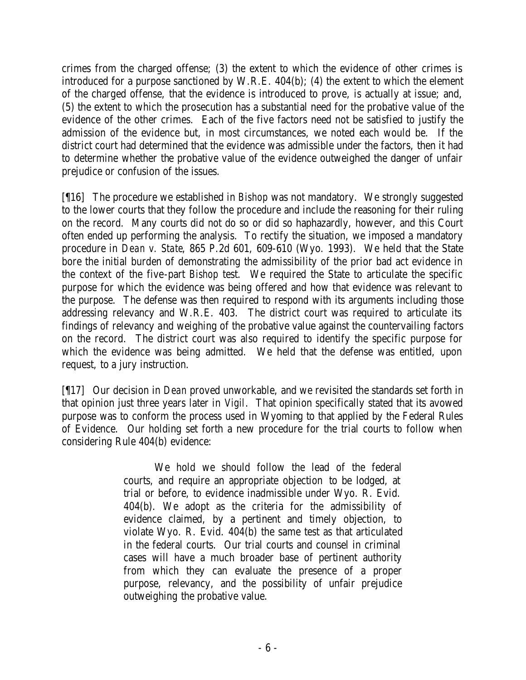crimes from the charged offense; (3) the extent to which the evidence of other crimes is introduced for a purpose sanctioned by W.R.E. 404(b); (4) the extent to which the element of the charged offense, that the evidence is introduced to prove, is actually at issue; and, (5) the extent to which the prosecution has a substantial need for the probative value of the evidence of the other crimes. Each of the five factors need not be satisfied to justify the admission of the evidence but, in most circumstances, we noted each would be. If the district court had determined that the evidence was admissible under the factors, then it had to determine whether the probative value of the evidence outweighed the danger of unfair prejudice or confusion of the issues.

[¶16] The procedure we established in *Bishop* was not mandatory. We strongly suggested to the lower courts that they follow the procedure and include the reasoning for their ruling on the record. Many courts did not do so or did so haphazardly, however, and this Court often ended up performing the analysis. To rectify the situation, we imposed a mandatory procedure in *Dean v. State*, 865 P.2d 601, 609-610 (Wyo. 1993). We held that the State bore the initial burden of demonstrating the admissibility of the prior bad act evidence in the context of the five-part *Bishop* test. We required the State to articulate the specific purpose for which the evidence was being offered and how that evidence was relevant to the purpose. The defense was then required to respond with its arguments including those addressing relevancy and W.R.E. 403. The district court was required to articulate its findings of relevancy and weighing of the probative value against the countervailing factors on the record. The district court was also required to identify the specific purpose for which the evidence was being admitted. We held that the defense was entitled, upon request, to a jury instruction.

[¶17] Our decision in *Dean* proved unworkable, and we revisited the standards set forth in that opinion just three years later in *Vigil*. That opinion specifically stated that its avowed purpose was to conform the process used in Wyoming to that applied by the Federal Rules of Evidence. Our holding set forth a new procedure for the trial courts to follow when considering Rule 404(b) evidence:

> We hold we should follow the lead of the federal courts, and require an appropriate objection to be lodged, at trial or before, to evidence inadmissible under Wyo. R. Evid. 404(b). We adopt as the criteria for the admissibility of evidence claimed, by a pertinent and timely objection, to violate Wyo. R. Evid. 404(b) the same test as that articulated in the federal courts. Our trial courts and counsel in criminal cases will have a much broader base of pertinent authority from which they can evaluate the presence of a proper purpose, relevancy, and the possibility of unfair prejudice outweighing the probative value.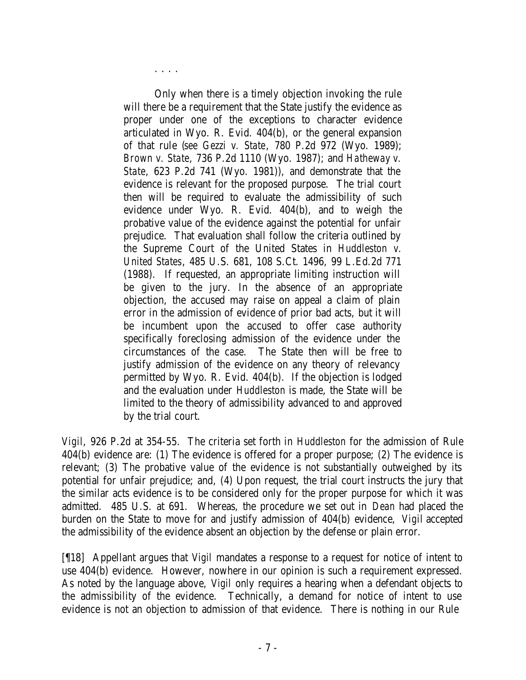Only when there is a timely objection invoking the rule will there be a requirement that the State justify the evidence as proper under one of the exceptions to character evidence articulated in Wyo. R. Evid. 404(b), or the general expansion of that rule (*see Gezzi v. State*, 780 P.2d 972 (Wyo. 1989); *Brown v. State*, 736 P.2d 1110 (Wyo. 1987); and *Hatheway v. State*, 623 P.2d 741 (Wyo. 1981)), and demonstrate that the evidence is relevant for the proposed purpose. The trial court then will be required to evaluate the admissibility of such evidence under Wyo. R. Evid. 404(b), and to weigh the probative value of the evidence against the potential for unfair prejudice. That evaluation shall follow the criteria outlined by the Supreme Court of the United States in *Huddleston v. United States*, 485 U.S. 681, 108 S.Ct. 1496, 99 L.Ed.2d 771 (1988). If requested, an appropriate limiting instruction will be given to the jury. In the absence of an appropriate objection, the accused may raise on appeal a claim of plain error in the admission of evidence of prior bad acts, but it will be incumbent upon the accused to offer case authority specifically foreclosing admission of the evidence under the circumstances of the case. The State then will be free to justify admission of the evidence on any theory of relevancy permitted by Wyo. R. Evid. 404(b). If the objection is lodged and the evaluation under *Huddleston* is made, the State will be limited to the theory of admissibility advanced to and approved by the trial court.

. . . .

*Vigil*, 926 P.2d at 354-55. The criteria set forth in *Huddleston* for the admission of Rule 404(b) evidence are: (1) The evidence is offered for a proper purpose; (2) The evidence is relevant; (3) The probative value of the evidence is not substantially outweighed by its potential for unfair prejudice; and, (4) Upon request, the trial court instructs the jury that the similar acts evidence is to be considered only for the proper purpose for which it was admitted. 485 U.S. at 691. Whereas, the procedure we set out in *Dean* had placed the burden on the State to move for and justify admission of 404(b) evidence, *Vigil* accepted the admissibility of the evidence absent an objection by the defense or plain error.

[¶18] Appellant argues that *Vigil* mandates a response to a request for notice of intent to use 404(b) evidence. However, nowhere in our opinion is such a requirement expressed. As noted by the language above, *Vigil* only requires a hearing when a defendant objects to the admissibility of the evidence. Technically, a demand for notice of intent to use evidence is not an objection to admission of that evidence. There is nothing in our Rule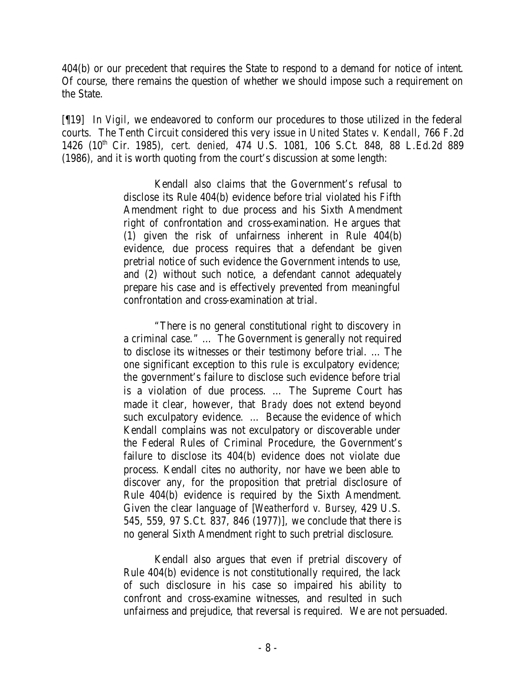404(b) or our precedent that requires the State to respond to a demand for notice of intent. Of course, there remains the question of whether we should impose such a requirement on the State.

[¶19] In *Vigil*, we endeavored to conform our procedures to those utilized in the federal courts. The Tenth Circuit considered this very issue in *United States v. Kendall*, 766 F.2d 1426 (10th Cir. 1985), *cert. denied,* 474 U.S. 1081, 106 S.Ct. 848, 88 L.Ed.2d 889 (1986), and it is worth quoting from the court's discussion at some length:

> Kendall also claims that the Government's refusal to disclose its Rule 404(b) evidence before trial violated his Fifth Amendment right to due process and his Sixth Amendment right of confrontation and cross-examination. He argues that (1) given the risk of unfairness inherent in Rule 404(b) evidence, due process requires that a defendant be given pretrial notice of such evidence the Government intends to use, and (2) without such notice, a defendant cannot adequately prepare his case and is effectively prevented from meaningful confrontation and cross-examination at trial.

> "There is no general constitutional right to discovery in a criminal case." … The Government is generally not required to disclose its witnesses or their testimony before trial. … The one significant exception to this rule is exculpatory evidence; the government's failure to disclose such evidence before trial is a violation of due process. … The Supreme Court has made it clear, however, that *Brady* does not extend beyond such exculpatory evidence. … Because the evidence of which Kendall complains was not exculpatory or discoverable under the Federal Rules of Criminal Procedure, the Government's failure to disclose its 404(b) evidence does not violate due process. Kendall cites no authority, nor have we been able to discover any, for the proposition that pretrial disclosure of Rule 404(b) evidence is required by the Sixth Amendment. Given the clear language of [*Weatherford v. Bursey*, 429 U.S. 545, 559, 97 S.Ct. 837, 846 (1977)], we conclude that there is no general Sixth Amendment right to such pretrial disclosure.

Kendall also argues that even if pretrial discovery of Rule 404(b) evidence is not constitutionally required, the lack of such disclosure in his case so impaired his ability to confront and cross-examine witnesses, and resulted in such unfairness and prejudice, that reversal is required. We are not persuaded.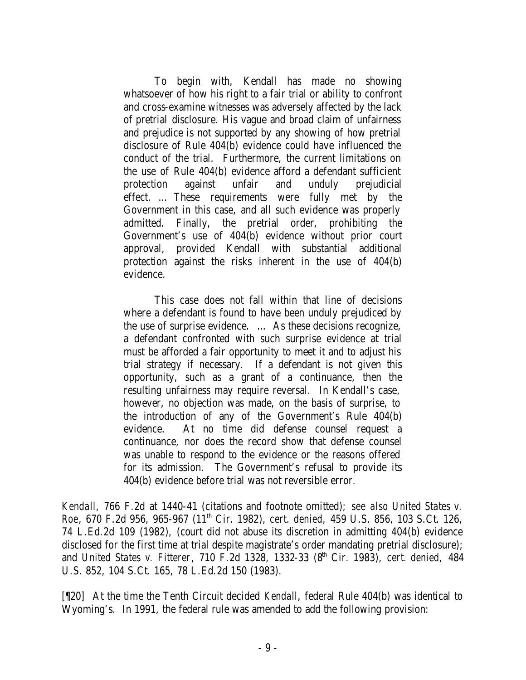To begin with, Kendall has made no showing whatsoever of how his right to a fair trial or ability to confront and cross-examine witnesses was adversely affected by the lack of pretrial disclosure. His vague and broad claim of unfairness and prejudice is not supported by any showing of how pretrial disclosure of Rule 404(b) evidence could have influenced the conduct of the trial. Furthermore, the current limitations on the use of Rule 404(b) evidence afford a defendant sufficient protection against unfair and unduly prejudicial effect. … These requirements were fully met by the Government in this case, and all such evidence was properly admitted. Finally, the pretrial order, prohibiting the Government's use of 404(b) evidence without prior court approval, provided Kendall with substantial additional protection against the risks inherent in the use of 404(b) evidence.

This case does not fall within that line of decisions where a defendant is found to have been unduly prejudiced by the use of surprise evidence. … As these decisions recognize, a defendant confronted with such surprise evidence at trial must be afforded a fair opportunity to meet it and to adjust his trial strategy if necessary. If a defendant is not given this opportunity, such as a grant of a continuance, then the resulting unfairness may require reversal. In Kendall's case, however, no objection was made, on the basis of surprise, to the introduction of any of the Government's Rule 404(b) evidence. At no time did defense counsel request a continuance, nor does the record show that defense counsel was unable to respond to the evidence or the reasons offered for its admission. The Government's refusal to provide its 404(b) evidence before trial was not reversible error.

*Kendall*, 766 F.2d at 1440-41 (citations and footnote omitted); *see also United States v. Roe*, 670 F.2d 956, 965-967 (11<sup>th</sup> Cir. 1982), *cert. denied,* 459 U.S. 856, 103 S.Ct. 126, 74 L.Ed.2d 109 (1982), (court did not abuse its discretion in admitting 404(b) evidence disclosed for the first time at trial despite magistrate's order mandating pretrial disclosure); and *United States v. Fitterer*, 710 F.2d 1328, 1332-33 (8th Cir. 1983), *cert. denied,* 484 U.S. 852, 104 S.Ct. 165, 78 L.Ed.2d 150 (1983).

[¶20] At the time the Tenth Circuit decided *Kendall*, federal Rule 404(b) was identical to Wyoming's. In 1991, the federal rule was amended to add the following provision: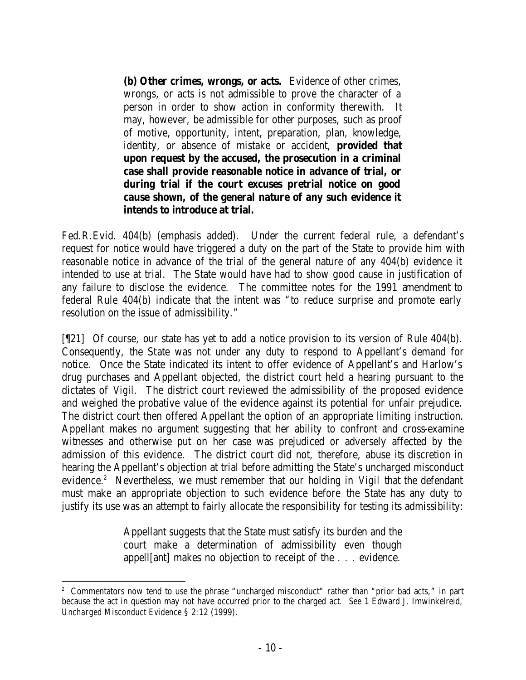**(b) Other crimes, wrongs, or acts.** Evidence of other crimes, wrongs, or acts is not admissible to prove the character of a person in order to show action in conformity therewith. It may, however, be admissible for other purposes, such as proof of motive, opportunity, intent, preparation, plan, knowledge, identity, or absence of mistake or accident, **provided that upon request by the accused, the prosecution in a criminal case shall provide reasonable notice in advance of trial, or during trial if the court excuses pretrial notice on good cause shown, of the general nature of any such evidence it intends to introduce at trial.**

Fed.R.Evid. 404(b) (emphasis added). Under the current federal rule, a defendant's request for notice would have triggered a duty on the part of the State to provide him with reasonable notice in advance of the trial of the general nature of any 404(b) evidence it intended to use at trial. The State would have had to show good cause in justification of any failure to disclose the evidence. The committee notes for the 1991 amendment to federal Rule 404(b) indicate that the intent was "to reduce surprise and promote early resolution on the issue of admissibility."

[¶21] Of course, our state has yet to add a notice provision to its version of Rule 404(b). Consequently, the State was not under any duty to respond to Appellant's demand for notice. Once the State indicated its intent to offer evidence of Appellant's and Harlow's drug purchases and Appellant objected, the district court held a hearing pursuant to the dictates of *Vigil*. The district court reviewed the admissibility of the proposed evidence and weighed the probative value of the evidence against its potential for unfair prejudice. The district court then offered Appellant the option of an appropriate limiting instruction. Appellant makes no argument suggesting that her ability to confront and cross-examine witnesses and otherwise put on her case was prejudiced or adversely affected by the admission of this evidence. The district court did not, therefore, abuse its discretion in hearing the Appellant's objection at trial before admitting the State's uncharged misconduct evidence.<sup>2</sup> Nevertheless, we must remember that our holding in *Vigil* that the defendant must make an appropriate objection to such evidence before the State has any duty to justify its use was an attempt to fairly allocate the responsibility for testing its admissibility:

> Appellant suggests that the State must satisfy its burden and the court make a determination of admissibility even though appell[ant] makes no objection to receipt of the . . . evidence.

<sup>2</sup> Commentators now tend to use the phrase "uncharged misconduct" rather than "prior bad acts," in part because the act in question may not have occurred prior to the charged act. *See* 1 Edward J. Imwinkelreid, *Uncharged Misconduct Evidence* § 2:12 (1999).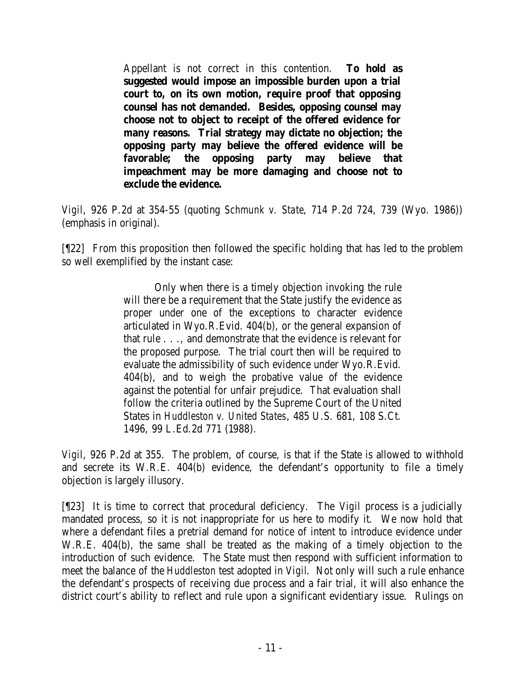Appellant is not correct in this contention. **To hold as suggested would impose an impossible burden upon a trial court to, on its own motion, require proof that opposing counsel has not demanded. Besides, opposing counsel may choose not to object to receipt of the offered evidence for many reasons. Trial strategy may dictate no objection; the opposing party may believe the offered evidence will be favorable; the opposing party may believe that impeachment may be more damaging and choose not to exclude the evidence.**

*Vigil*, 926 P.2d at 354-55 (quoting *Schmunk v. State*, 714 P.2d 724, 739 (Wyo. 1986)) (emphasis in original).

[¶22] From this proposition then followed the specific holding that has led to the problem so well exemplified by the instant case:

> Only when there is a timely objection invoking the rule will there be a requirement that the State justify the evidence as proper under one of the exceptions to character evidence articulated in Wyo.R.Evid. 404(b), or the general expansion of that rule . . ., and demonstrate that the evidence is relevant for the proposed purpose. The trial court then will be required to evaluate the admissibility of such evidence under Wyo.R.Evid. 404(b), and to weigh the probative value of the evidence against the potential for unfair prejudice. That evaluation shall follow the criteria outlined by the Supreme Court of the United States in *Huddleston v. United States*, 485 U.S. 681, 108 S.Ct. 1496, 99 L.Ed.2d 771 (1988).

*Vigil*, 926 P.2d at 355. The problem, of course, is that if the State is allowed to withhold and secrete its W.R.E. 404(b) evidence, the defendant's opportunity to file a timely objection is largely illusory.

[¶23] It is time to correct that procedural deficiency. The *Vigil* process is a judicially mandated process, so it is not inappropriate for us here to modify it. We now hold that where a defendant files a pretrial demand for notice of intent to introduce evidence under W.R.E. 404(b), the same shall be treated as the making of a timely objection to the introduction of such evidence. The State must then respond with sufficient information to meet the balance of the *Huddleston* test adopted in *Vigil*. Not only will such a rule enhance the defendant's prospects of receiving due process and a fair trial, it will also enhance the district court's ability to reflect and rule upon a significant evidentiary issue. Rulings on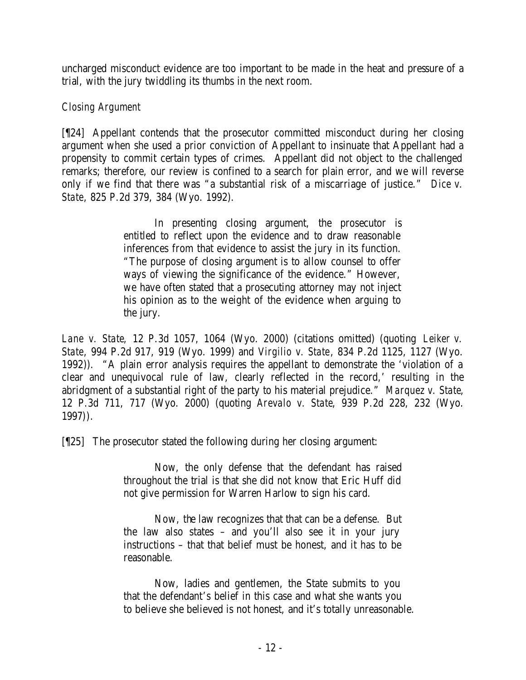uncharged misconduct evidence are too important to be made in the heat and pressure of a trial, with the jury twiddling its thumbs in the next room.

## *Closing Argument*

[¶24] Appellant contends that the prosecutor committed misconduct during her closing argument when she used a prior conviction of Appellant to insinuate that Appellant had a propensity to commit certain types of crimes. Appellant did not object to the challenged remarks; therefore, our review is confined to a search for plain error, and we will reverse only if we find that there was "a substantial risk of a miscarriage of justice." *Dice v. State*, 825 P.2d 379, 384 (Wyo. 1992).

> In presenting closing argument, the prosecutor is entitled to reflect upon the evidence and to draw reasonable inferences from that evidence to assist the jury in its function. "The purpose of closing argument is to allow counsel to offer ways of viewing the significance of the evidence." However, we have often stated that a prosecuting attorney may not inject his opinion as to the weight of the evidence when arguing to the jury.

*Lane v. State*, 12 P.3d 1057, 1064 (Wyo. 2000) (citations omitted) (quoting *Leiker v. State*, 994 P.2d 917, 919 (Wyo. 1999) and *Virgilio v. State*, 834 P.2d 1125, 1127 (Wyo. 1992)). "A plain error analysis requires the appellant to demonstrate the 'violation of a clear and unequivocal rule of law, clearly reflected in the record,' resulting in the abridgment of a substantial right of the party to his material prejudice." *Marquez v. State*, 12 P.3d 711, 717 (Wyo. 2000) (quoting *Arevalo v. State*, 939 P.2d 228, 232 (Wyo. 1997)).

[¶25] The prosecutor stated the following during her closing argument:

Now, the only defense that the defendant has raised throughout the trial is that she did not know that Eric Huff did not give permission for Warren Harlow to sign his card.

Now, the law recognizes that that can be a defense. But the law also states – and you'll also see it in your jury instructions – that that belief must be honest, and it has to be reasonable.

Now, ladies and gentlemen, the State submits to you that the defendant's belief in this case and what she wants you to believe she believed is not honest, and it's totally unreasonable.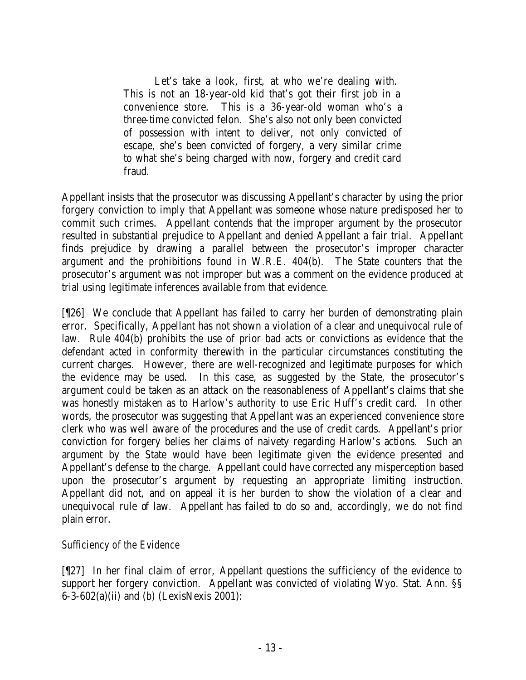Let's take a look, first, at who we're dealing with. This is not an 18-year-old kid that's got their first job in a convenience store. This is a 36-year-old woman who's a three-time convicted felon. She's also not only been convicted of possession with intent to deliver, not only convicted of escape, she's been convicted of forgery, a very similar crime to what she's being charged with now, forgery and credit card fraud.

Appellant insists that the prosecutor was discussing Appellant's character by using the prior forgery conviction to imply that Appellant was someone whose nature predisposed her to commit such crimes. Appellant contends that the improper argument by the prosecutor resulted in substantial prejudice to Appellant and denied Appellant a fair trial. Appellant finds prejudice by drawing a parallel between the prosecutor's improper character argument and the prohibitions found in W.R.E. 404(b). The State counters that the prosecutor's argument was not improper but was a comment on the evidence produced at trial using legitimate inferences available from that evidence.

[¶26] We conclude that Appellant has failed to carry her burden of demonstrating plain error. Specifically, Appellant has not shown a violation of a clear and unequivocal rule of law. Rule 404(b) prohibits the use of prior bad acts or convictions as evidence that the defendant acted in conformity therewith in the particular circumstances constituting the current charges. However, there are well-recognized and legitimate purposes for which the evidence may be used. In this case, as suggested by the State, the prosecutor's argument could be taken as an attack on the reasonableness of Appellant's claims that she was honestly mistaken as to Harlow's authority to use Eric Huff's credit card. In other words, the prosecutor was suggesting that Appellant was an experienced convenience store clerk who was well aware of the procedures and the use of credit cards. Appellant's prior conviction for forgery belies her claims of naivety regarding Harlow's actions. Such an argument by the State would have been legitimate given the evidence presented and Appellant's defense to the charge. Appellant could have corrected any misperception based upon the prosecutor's argument by requesting an appropriate limiting instruction. Appellant did not, and on appeal it is her burden to show the violation of a clear and unequivocal rule of law. Appellant has failed to do so and, accordingly, we do not find plain error.

## *Sufficiency of the Evidence*

[¶27] In her final claim of error, Appellant questions the sufficiency of the evidence to support her forgery conviction. Appellant was convicted of violating Wyo. Stat. Ann. §§ 6-3-602(a)(ii) and (b) (LexisNexis 2001):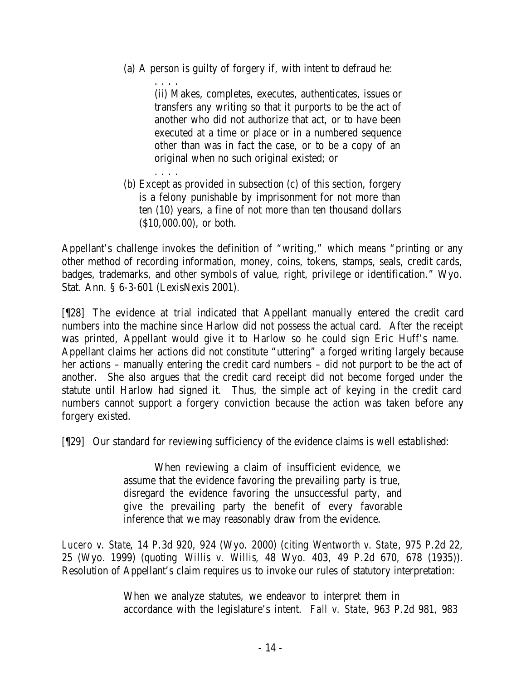(a) A person is guilty of forgery if, with intent to defraud he:

. . . . (ii) Makes, completes, executes, authenticates, issues or transfers any writing so that it purports to be the act of another who did not authorize that act, or to have been executed at a time or place or in a numbered sequence other than was in fact the case, or to be a copy of an original when no such original existed; or

(b) Except as provided in subsection (c) of this section, forgery is a felony punishable by imprisonment for not more than ten (10) years, a fine of not more than ten thousand dollars (\$10,000.00), or both.

. . . .

Appellant's challenge invokes the definition of "writing," which means "printing or any other method of recording information, money, coins, tokens, stamps, seals, credit cards, badges, trademarks, and other symbols of value, right, privilege or identification." Wyo. Stat. Ann. § 6-3-601 (LexisNexis 2001).

[¶28] The evidence at trial indicated that Appellant manually entered the credit card numbers into the machine since Harlow did not possess the actual card. After the receipt was printed, Appellant would give it to Harlow so he could sign Eric Huff's name. Appellant claims her actions did not constitute "uttering" a forged writing largely because her actions – manually entering the credit card numbers – did not purport to be the act of another. She also argues that the credit card receipt did not become forged under the statute until Harlow had signed it. Thus, the simple act of keying in the credit card numbers cannot support a forgery conviction because the action was taken before any forgery existed.

[¶29] Our standard for reviewing sufficiency of the evidence claims is well established:

When reviewing a claim of insufficient evidence, we assume that the evidence favoring the prevailing party is true, disregard the evidence favoring the unsuccessful party, and give the prevailing party the benefit of every favorable inference that we may reasonably draw from the evidence.

*Lucero v. State*, 14 P.3d 920, 924 (Wyo. 2000) (citing *Wentworth v. State*, 975 P.2d 22, 25 (Wyo. 1999) (quoting *Willis v. Willis*, 48 Wyo. 403, 49 P.2d 670, 678 (1935)). Resolution of Appellant's claim requires us to invoke our rules of statutory interpretation:

> When we analyze statutes, we endeavor to interpret them in accordance with the legislature's intent. *Fall v. State*, 963 P.2d 981, 983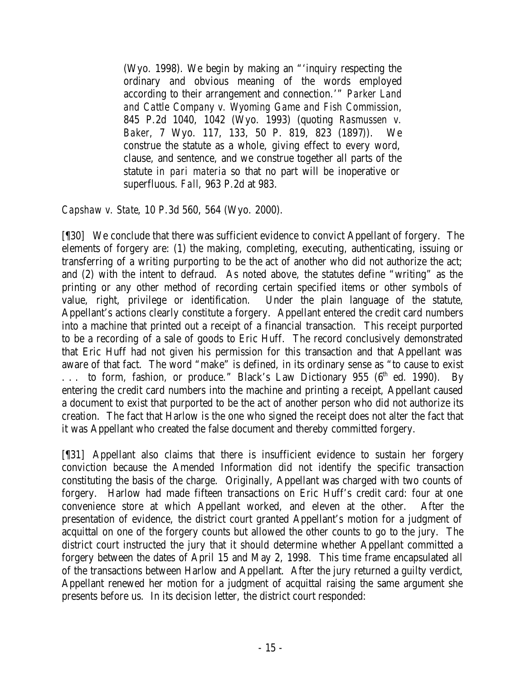(Wyo. 1998). We begin by making an "'inquiry respecting the ordinary and obvious meaning of the words employed according to their arrangement and connection.'" *Parker Land and Cattle Company v. Wyoming Game and Fish Commission*, 845 P.2d 1040, 1042 (Wyo. 1993) (quoting *Rasmussen v. Baker*, 7 Wyo. 117, 133, 50 P. 819, 823 (1897)). We construe the statute as a whole, giving effect to every word, clause, and sentence, and we construe together all parts of the statute *in pari materia* so that no part will be inoperative or superfluous. *Fall*, 963 P.2d at 983.

*Capshaw v. State*, 10 P.3d 560, 564 (Wyo. 2000).

[¶30] We conclude that there was sufficient evidence to convict Appellant of forgery. The elements of forgery are: (1) the making, completing, executing, authenticating, issuing or transferring of a writing purporting to be the act of another who did not authorize the act; and (2) with the intent to defraud. As noted above, the statutes define "writing" as the printing or any other method of recording certain specified items or other symbols of value, right, privilege or identification. Under the plain language of the statute, Appellant's actions clearly constitute a forgery. Appellant entered the credit card numbers into a machine that printed out a receipt of a financial transaction. This receipt purported to be a recording of a sale of goods to Eric Huff. The record conclusively demonstrated that Eric Huff had not given his permission for this transaction and that Appellant was aware of that fact. The word "make" is defined, in its ordinary sense as "to cause to exist  $\ldots$  to form, fashion, or produce." Black's Law Dictionary 955 ( $6<sup>th</sup>$  ed. 1990). By entering the credit card numbers into the machine and printing a receipt, Appellant caused a document to exist that purported to be the act of another person who did not authorize its creation. The fact that Harlow is the one who signed the receipt does not alter the fact that it was Appellant who created the false document and thereby committed forgery.

[¶31] Appellant also claims that there is insufficient evidence to sustain her forgery conviction because the Amended Information did not identify the specific transaction constituting the basis of the charge. Originally, Appellant was charged with two counts of forgery. Harlow had made fifteen transactions on Eric Huff's credit card: four at one convenience store at which Appellant worked, and eleven at the other. After the presentation of evidence, the district court granted Appellant's motion for a judgment of acquittal on one of the forgery counts but allowed the other counts to go to the jury. The district court instructed the jury that it should determine whether Appellant committed a forgery between the dates of April 15 and May 2, 1998. This time frame encapsulated all of the transactions between Harlow and Appellant. After the jury returned a guilty verdict, Appellant renewed her motion for a judgment of acquittal raising the same argument she presents before us. In its decision letter, the district court responded: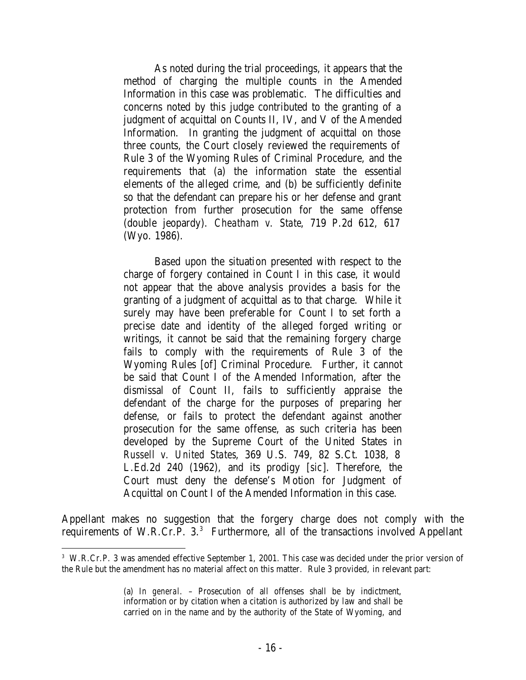As noted during the trial proceedings, it appears that the method of charging the multiple counts in the Amended Information in this case was problematic. The difficulties and concerns noted by this judge contributed to the granting of a judgment of acquittal on Counts II, IV, and V of the Amended Information. In granting the judgment of acquittal on those three counts, the Court closely reviewed the requirements of Rule 3 of the Wyoming Rules of Criminal Procedure, and the requirements that (a) the information state the essential elements of the alleged crime, and (b) be sufficiently definite so that the defendant can prepare his or her defense and grant protection from further prosecution for the same offense (double jeopardy). *Cheatham v. State*, 719 P.2d 612, 617 (Wyo. 1986).

Based upon the situation presented with respect to the charge of forgery contained in Count I in this case, it would not appear that the above analysis provides a basis for the granting of a judgment of acquittal as to that charge. While it surely may have been preferable for Count I to set forth a precise date and identity of the alleged forged writing or writings, it cannot be said that the remaining forgery charge fails to comply with the requirements of Rule 3 of the Wyoming Rules [of] Criminal Procedure. Further, it cannot be said that Count I of the Amended Information, after the dismissal of Count II, fails to sufficiently appraise the defendant of the charge for the purposes of preparing her defense, or fails to protect the defendant against another prosecution for the same offense, as such criteria has been developed by the Supreme Court of the United States in *Russell v. United States*, 369 U.S. 749, 82 S.Ct. 1038, 8 L.Ed.2d 240 (1962), and its prodigy [*sic*]. Therefore, the Court must deny the defense's Motion for Judgment of Acquittal on Count I of the Amended Information in this case.

Appellant makes no suggestion that the forgery charge does not comply with the requirements of W.R.Cr.P.  $3.3$  Furthermore, all of the transactions involved Appellant

<sup>&</sup>lt;sup>3</sup> W.R.Cr.P. 3 was amended effective September 1, 2001. This case was decided under the prior version of the Rule but the amendment has no material affect on this matter. Rule 3 provided, in relevant part:

<sup>(</sup>a) *In general*. – Prosecution of all offenses shall be by indictment, information or by citation when a citation is authorized by law and shall be carried on in the name and by the authority of the State of Wyoming, and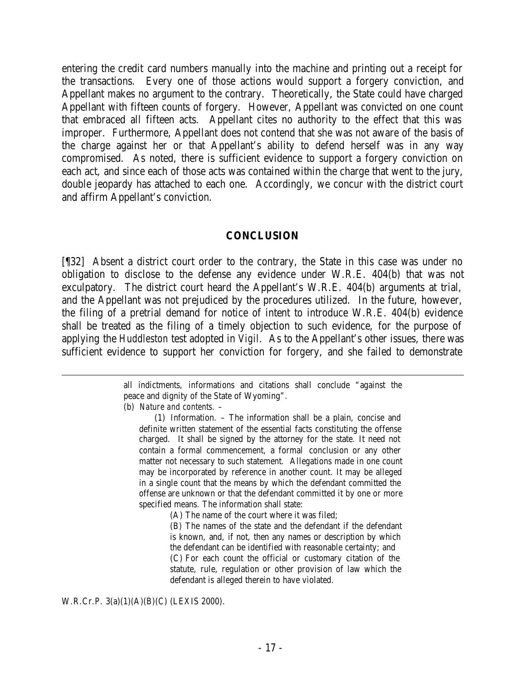entering the credit card numbers manually into the machine and printing out a receipt for the transactions. Every one of those actions would support a forgery conviction, and Appellant makes no argument to the contrary. Theoretically, the State could have charged Appellant with fifteen counts of forgery. However, Appellant was convicted on one count that embraced all fifteen acts. Appellant cites no authority to the effect that this was improper. Furthermore, Appellant does not contend that she was not aware of the basis of the charge against her or that Appellant's ability to defend herself was in any way compromised. As noted, there is sufficient evidence to support a forgery conviction on each act, and since each of those acts was contained within the charge that went to the jury, double jeopardy has attached to each one. Accordingly, we concur with the district court and affirm Appellant's conviction.

#### **CONCLUSION**

[¶32] Absent a district court order to the contrary, the State in this case was under no obligation to disclose to the defense any evidence under W.R.E. 404(b) that was not exculpatory. The district court heard the Appellant's W.R.E. 404(b) arguments at trial, and the Appellant was not prejudiced by the procedures utilized. In the future, however, the filing of a pretrial demand for notice of intent to introduce W.R.E. 404(b) evidence shall be treated as the filing of a timely objection to such evidence, for the purpose of applying the *Huddleston* test adopted in *Vigil.* As to the Appellant's other issues, there was sufficient evidence to support her conviction for forgery, and she failed to demonstrate

> all indictments, informations and citations shall conclude "against the peace and dignity of the State of Wyoming".

(b) *Nature and contents. –*

(1) Information. – The information shall be a plain, concise and definite written statement of the essential facts constituting the offense charged. It shall be signed by the attorney for the state. It need not contain a formal commencement, a formal conclusion or any other matter not necessary to such statement. Allegations made in one count may be incorporated by reference in another count. It may be alleged in a single count that the means by which the defendant committed the offense are unknown or that the defendant committed it by one or more specified means. The information shall state:

(A) The name of the court where it was filed;

(B) The names of the state and the defendant if the defendant is known, and, if not, then any names or description by which the defendant can be identified with reasonable certainty; and (C) For each count the official or customary citation of the statute, rule, regulation or other provision of law which the defendant is alleged therein to have violated.

W.R.Cr.P. 3(a)(1)(A)(B)(C) (LEXIS 2000).